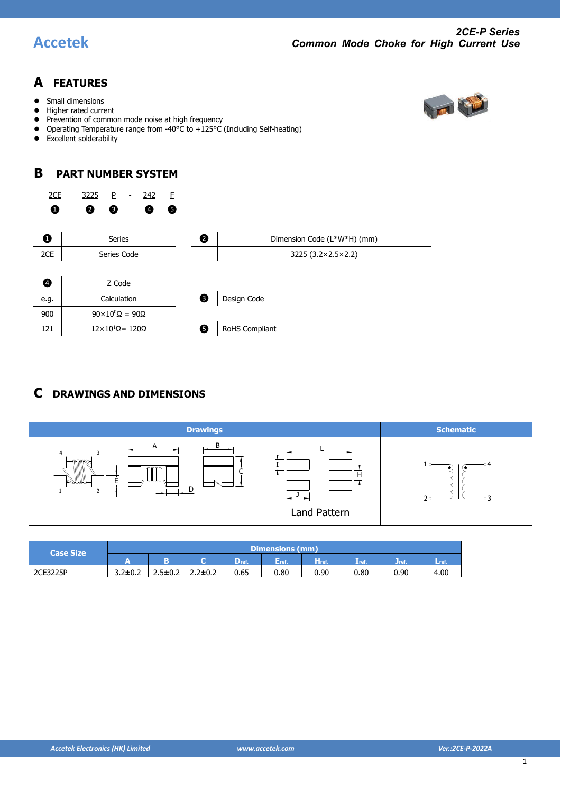

### **A FEATURES**

- Small dimensions
- Higher rated current
- Prevention of common mode noise at high frequency
- Operating Temperature range from -40°C to +125°C (Including Self-heating)
- Excellent solderability

### **B PART NUMBER SYSTEM**



### **C DRAWINGS AND DIMENSIONS**



| <b>Case Size</b> | Dimensions (mm) |               |               |                |      |             |                            |        |      |  |
|------------------|-----------------|---------------|---------------|----------------|------|-------------|----------------------------|--------|------|--|
|                  |                 |               |               | $\bm{\nu}$ ref | Eref | <b>⊟ref</b> | $\mathbf{L}_{\text{ref.}}$ | U refi | ∟ref |  |
| 2CE3225P         | $3.2 \pm 0.2$   | $2.5 \pm 0.2$ | $2.2 \pm 0.2$ | 0.65           | 0.80 | 0.90        | $_{0.80}$                  | 0.90   | 4.00 |  |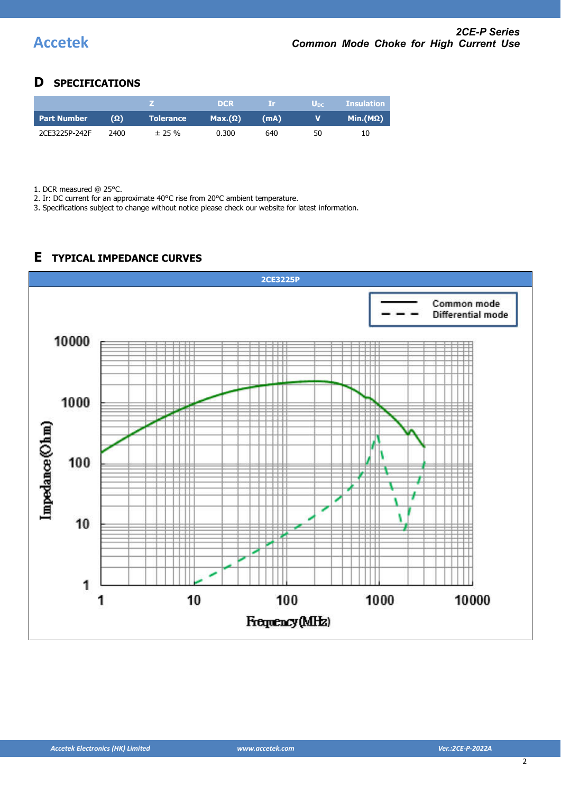### **D SPECIFICATIONS**

|                    |            |                  | DCR.           | -TP. | U <sub>DC</sub> | <b>Insulation</b> |
|--------------------|------------|------------------|----------------|------|-----------------|-------------------|
| <b>Part Number</b> | $(\Omega)$ | <b>Tolerance</b> | $Max.(\Omega)$ | (mA) | v               | Min.(MΩ)          |
| 2CE3225P-242F      | 2400       | $± 25 \%$        | 0.300          | 640  | 50              | 10                |

1. DCR measured @ 25°C.

2. Ir: DC current for an approximate 40°C rise from 20°C ambient temperature.

3. Specifications subject to change without notice please check our website for latest information.

# **2CE3225P**Common mode Differential mode 10000 1000 Impedance (Ohm) 100 10 1 100 10 1000 10000 1 Frequency (MHz)

### **E TYPICAL IMPEDANCE CURVES**